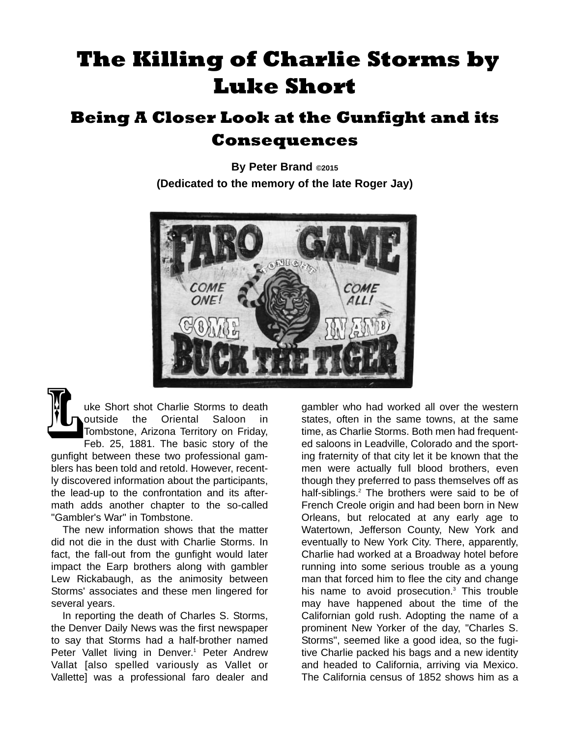# **The Killing of Charlie Storms by Luke Short**

## **Being A Closer Look at the Gunfight and its Consequences**

**By Peter Brand ©2015 (Dedicated to the memory of the late Roger Jay)**



uke Short shot Charlie Storms to death outside the Oriental Saloon in Tombstone, Arizona Territory on Friday, Feb. 25, 1881. The basic story of the gunfight between these two professional gamblers has been told and retold. However, recently discovered information about the participants, the lead-up to the confrontation and its aftermath adds another chapter to the so-called "Gambler's War" in Tombstone. K

The new information shows that the matter did not die in the dust with Charlie Storms. In fact, the fall-out from the gunfight would later impact the Earp brothers along with gambler Lew Rickabaugh, as the animosity between Storms' associates and these men lingered for several years.

In reporting the death of Charles S. Storms, the Denver Daily News was the first newspaper to say that Storms had a half-brother named Peter Vallet living in Denver.<sup>1</sup> Peter Andrew Vallat [also spelled variously as Vallet or Vallette] was a professional faro dealer and

gambler who had worked all over the western states, often in the same towns, at the same time, as Charlie Storms. Both men had frequented saloons in Leadville, Colorado and the sporting fraternity of that city let it be known that the men were actually full blood brothers, even though they preferred to pass themselves off as half-siblings.<sup>2</sup> The brothers were said to be of French Creole origin and had been born in New Orleans, but relocated at any early age to Watertown, Jefferson County, New York and eventually to New York City. There, apparently, Charlie had worked at a Broadway hotel before running into some serious trouble as a young man that forced him to flee the city and change his name to avoid prosecution. $3$  This trouble may have happened about the time of the Californian gold rush. Adopting the name of a prominent New Yorker of the day, "Charles S. Storms", seemed like a good idea, so the fugitive Charlie packed his bags and a new identity and headed to California, arriving via Mexico. The California census of 1852 shows him as a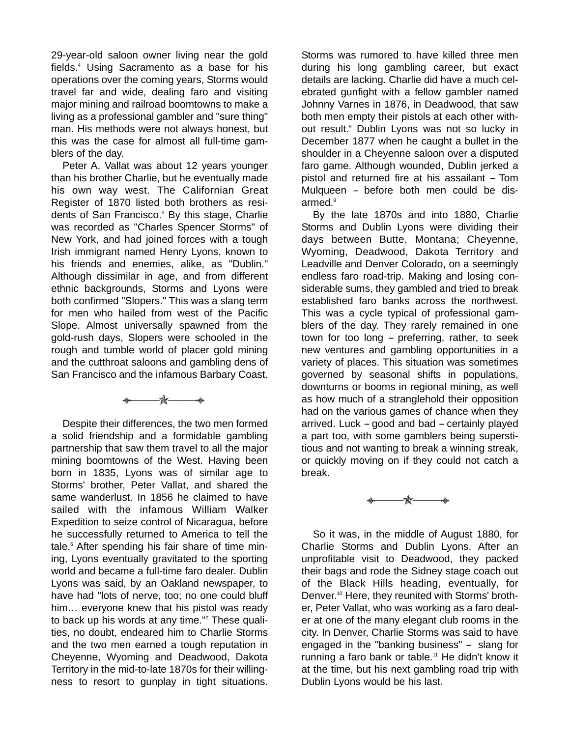29-year-old saloon owner living near the gold fields.4 Using Sacramento as a base for his operations over the coming years, Storms would travel far and wide, dealing faro and visiting major mining and railroad boomtowns to make a living as a professional gambler and "sure thing" man. His methods were not always honest, but this was the case for almost all full-time gamblers of the day.

Peter A. Vallat was about 12 years younger than his brother Charlie, but he eventually made his own way west. The Californian Great Register of 1870 listed both brothers as residents of San Francisco.<sup>5</sup> By this stage, Charlie was recorded as "Charles Spencer Storms" of New York, and had joined forces with a tough Irish immigrant named Henry Lyons, known to his friends and enemies, alike, as "Dublin." Although dissimilar in age, and from different ethnic backgrounds, Storms and Lyons were both confirmed "Slopers." This was a slang term for men who hailed from west of the Pacific Slope. Almost universally spawned from the gold-rush days, Slopers were schooled in the rough and tumble world of placer gold mining and the cutthroat saloons and gambling dens of San Francisco and the infamous Barbary Coast.

\*\*

Despite their differences, the two men formed a solid friendship and a formidable gambling partnership that saw them travel to all the major mining boomtowns of the West. Having been born in 1835, Lyons was of similar age to Storms' brother, Peter Vallat, and shared the same wanderlust. In 1856 he claimed to have sailed with the infamous William Walker Expedition to seize control of Nicaragua, before he successfully returned to America to tell the tale.<sup>6</sup> After spending his fair share of time mining, Lyons eventually gravitated to the sporting world and became a full-time faro dealer. Dublin Lyons was said, by an Oakland newspaper, to have had "lots of nerve, too; no one could bluff him… everyone knew that his pistol was ready to back up his words at any time."7 These qualities, no doubt, endeared him to Charlie Storms and the two men earned a tough reputation in Cheyenne, Wyoming and Deadwood, Dakota Territory in the mid-to-late 1870s for their willingness to resort to gunplay in tight situations.

Storms was rumored to have killed three men during his long gambling career, but exact details are lacking. Charlie did have a much celebrated gunfight with a fellow gambler named Johnny Varnes in 1876, in Deadwood, that saw both men empty their pistols at each other without result.<sup>8</sup> Dublin Lyons was not so lucky in December 1877 when he caught a bullet in the shoulder in a Cheyenne saloon over a disputed faro game. Although wounded, Dublin jerked a pistol and returned fire at his assailant - Tom Mulqueen - before both men could be disarmed.<sup>9</sup>

By the late 1870s and into 1880, Charlie Storms and Dublin Lyons were dividing their days between Butte, Montana; Cheyenne, Wyoming, Deadwood, Dakota Territory and Leadville and Denver Colorado, on a seemingly endless faro road-trip. Making and losing considerable sums, they gambled and tried to break established faro banks across the northwest. This was a cycle typical of professional gamblers of the day. They rarely remained in one town for too long - preferring, rather, to seek new ventures and gambling opportunities in a variety of places. This situation was sometimes governed by seasonal shifts in populations, downturns or booms in regional mining, as well as how much of a stranglehold their opposition had on the various games of chance when they arrived. Luck  $-$  good and bad  $-$  certainly played a part too, with some gamblers being superstitious and not wanting to break a winning streak, or quickly moving on if they could not catch a break.

-\*—

So it was, in the middle of August 1880, for Charlie Storms and Dublin Lyons. After an unprofitable visit to Deadwood, they packed their bags and rode the Sidney stage coach out of the Black Hills heading, eventually, for Denver.10 Here, they reunited with Storms' brother, Peter Vallat, who was working as a faro dealer at one of the many elegant club rooms in the city. In Denver, Charlie Storms was said to have engaged in the "banking business" - slang for running a faro bank or table.<sup>11</sup> He didn't know it at the time, but his next gambling road trip with Dublin Lyons would be his last.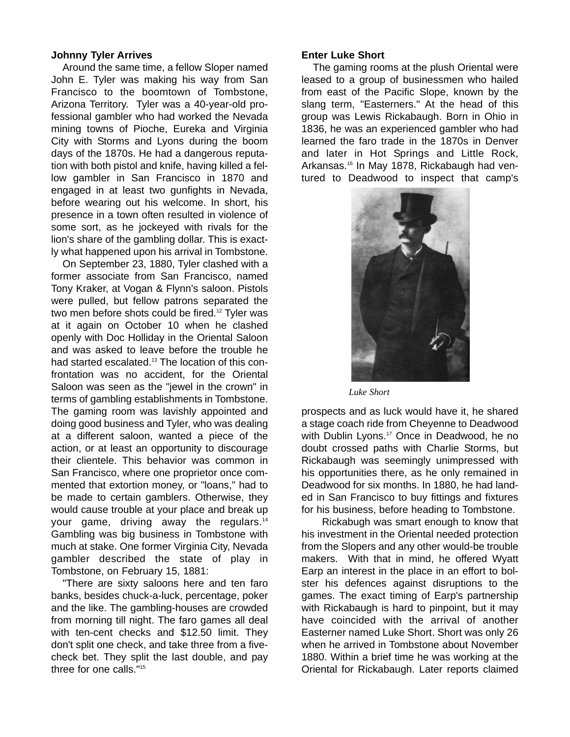#### **Johnny Tyler Arrives**

Around the same time, a fellow Sloper named John E. Tyler was making his way from San Francisco to the boomtown of Tombstone, Arizona Territory. Tyler was a 40-year-old professional gambler who had worked the Nevada mining towns of Pioche, Eureka and Virginia City with Storms and Lyons during the boom days of the 1870s. He had a dangerous reputation with both pistol and knife, having killed a fellow gambler in San Francisco in 1870 and engaged in at least two gunfights in Nevada, before wearing out his welcome. In short, his presence in a town often resulted in violence of some sort, as he jockeyed with rivals for the lion's share of the gambling dollar. This is exactly what happened upon his arrival in Tombstone.

On September 23, 1880, Tyler clashed with a former associate from San Francisco, named Tony Kraker, at Vogan & Flynn's saloon. Pistols were pulled, but fellow patrons separated the two men before shots could be fired.<sup>12</sup> Tyler was at it again on October 10 when he clashed openly with Doc Holliday in the Oriental Saloon and was asked to leave before the trouble he had started escalated.<sup>13</sup> The location of this confrontation was no accident, for the Oriental Saloon was seen as the "jewel in the crown" in terms of gambling establishments in Tombstone. The gaming room was lavishly appointed and doing good business and Tyler, who was dealing at a different saloon, wanted a piece of the action, or at least an opportunity to discourage their clientele. This behavior was common in San Francisco, where one proprietor once commented that extortion money, or "loans," had to be made to certain gamblers. Otherwise, they would cause trouble at your place and break up your game, driving away the regulars.<sup>14</sup> Gambling was big business in Tombstone with much at stake. One former Virginia City, Nevada gambler described the state of play in Tombstone, on February 15, 1881:

"There are sixty saloons here and ten faro banks, besides chuck-a-luck, percentage, poker and the like. The gambling-houses are crowded from morning till night. The faro games all deal with ten-cent checks and \$12.50 limit. They don't split one check, and take three from a fivecheck bet. They split the last double, and pay three for one calls."15

#### **Enter Luke Short**

The gaming rooms at the plush Oriental were leased to a group of businessmen who hailed from east of the Pacific Slope, known by the slang term, "Easterners." At the head of this group was Lewis Rickabaugh. Born in Ohio in 1836, he was an experienced gambler who had learned the faro trade in the 1870s in Denver and later in Hot Springs and Little Rock, Arkansas.16 In May 1878, Rickabaugh had ventured to Deadwood to inspect that camp's



*Luke Short*

prospects and as luck would have it, he shared a stage coach ride from Cheyenne to Deadwood with Dublin Lyons.<sup>17</sup> Once in Deadwood, he no doubt crossed paths with Charlie Storms, but Rickabaugh was seemingly unimpressed with his opportunities there, as he only remained in Deadwood for six months. In 1880, he had landed in San Francisco to buy fittings and fixtures for his business, before heading to Tombstone.

Rickabugh was smart enough to know that his investment in the Oriental needed protection from the Slopers and any other would-be trouble makers. With that in mind, he offered Wyatt Earp an interest in the place in an effort to bolster his defences against disruptions to the games. The exact timing of Earp's partnership with Rickabaugh is hard to pinpoint, but it may have coincided with the arrival of another Easterner named Luke Short. Short was only 26 when he arrived in Tombstone about November 1880. Within a brief time he was working at the Oriental for Rickabaugh. Later reports claimed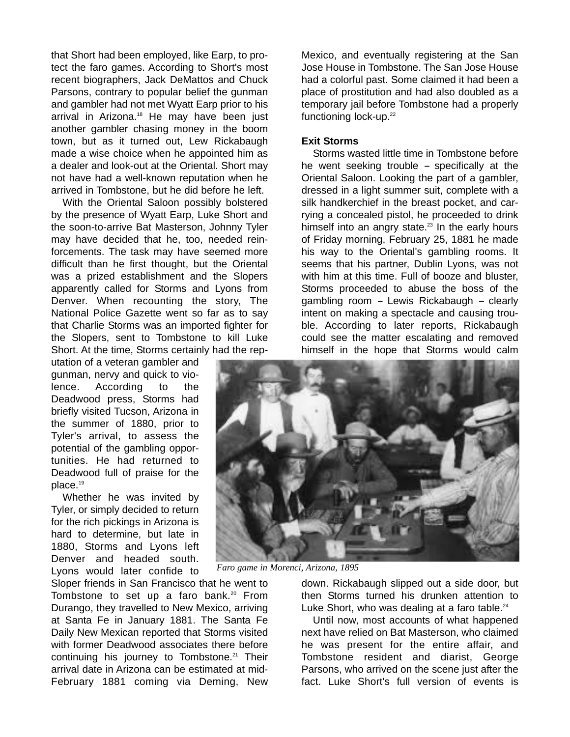that Short had been employed, like Earp, to protect the faro games. According to Short's most recent biographers, Jack DeMattos and Chuck Parsons, contrary to popular belief the gunman and gambler had not met Wyatt Earp prior to his arrival in Arizona.<sup>18</sup> He may have been just another gambler chasing money in the boom town, but as it turned out, Lew Rickabaugh made a wise choice when he appointed him as a dealer and look-out at the Oriental. Short may not have had a well-known reputation when he arrived in Tombstone, but he did before he left.

With the Oriental Saloon possibly bolstered by the presence of Wyatt Earp, Luke Short and the soon-to-arrive Bat Masterson, Johnny Tyler may have decided that he, too, needed reinforcements. The task may have seemed more difficult than he first thought, but the Oriental was a prized establishment and the Slopers apparently called for Storms and Lyons from Denver. When recounting the story, The National Police Gazette went so far as to say that Charlie Storms was an imported fighter for the Slopers, sent to Tombstone to kill Luke Short. At the time, Storms certainly had the rep-

utation of a veteran gambler and gunman, nervy and quick to violence. According to the Deadwood press, Storms had briefly visited Tucson, Arizona in the summer of 1880, prior to Tyler's arrival, to assess the potential of the gambling opportunities. He had returned to Deadwood full of praise for the place.19

Whether he was invited by Tyler, or simply decided to return for the rich pickings in Arizona is hard to determine, but late in 1880, Storms and Lyons left Denver and headed south. Lyons would later confide to

Sloper friends in San Francisco that he went to Tombstone to set up a faro bank.<sup>20</sup> From Durango, they travelled to New Mexico, arriving at Santa Fe in January 1881. The Santa Fe Daily New Mexican reported that Storms visited with former Deadwood associates there before continuing his journey to Tombstone.<sup>21</sup> Their arrival date in Arizona can be estimated at mid-February 1881 coming via Deming, New

Mexico, and eventually registering at the San Jose House in Tombstone. The San Jose House had a colorful past. Some claimed it had been a place of prostitution and had also doubled as a temporary jail before Tombstone had a properly functioning lock-up.<sup>22</sup>

#### **Exit Storms**

Storms wasted little time in Tombstone before he went seeking trouble  $-$  specifically at the Oriental Saloon. Looking the part of a gambler, dressed in a light summer suit, complete with a silk handkerchief in the breast pocket, and carrying a concealed pistol, he proceeded to drink himself into an angry state. $23$  In the early hours of Friday morning, February 25, 1881 he made his way to the Oriental's gambling rooms. It seems that his partner, Dublin Lyons, was not with him at this time. Full of booze and bluster, Storms proceeded to abuse the boss of the gambling room - Lewis Rickabaugh - clearly intent on making a spectacle and causing trouble. According to later reports, Rickabaugh could see the matter escalating and removed himself in the hope that Storms would calm



*Faro game in Morenci, Arizona, 1895*

down. Rickabaugh slipped out a side door, but then Storms turned his drunken attention to Luke Short, who was dealing at a faro table. $24$ 

Until now, most accounts of what happened next have relied on Bat Masterson, who claimed he was present for the entire affair, and Tombstone resident and diarist, George Parsons, who arrived on the scene just after the fact. Luke Short's full version of events is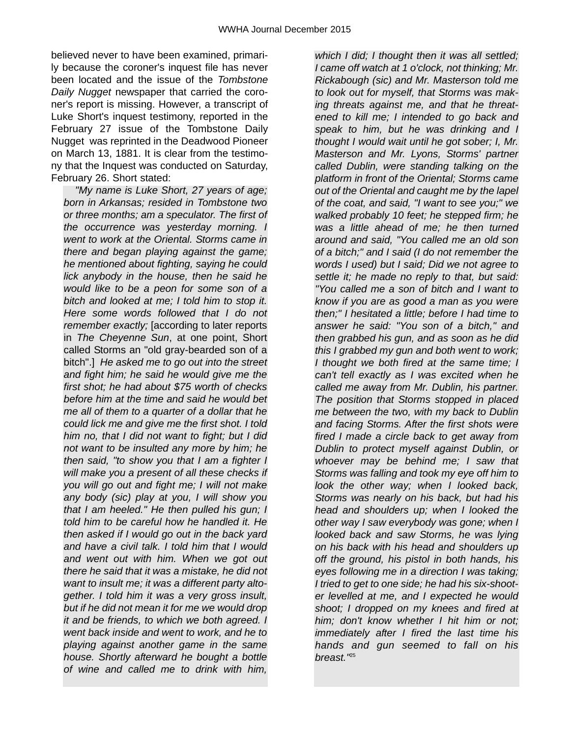believed never to have been examined, primarily because the coroner's inquest file has never been located and the issue of the *Tombstone Daily Nugget* newspaper that carried the coroner's report is missing. However, a transcript of Luke Short's inquest testimony, reported in the February 27 issue of the Tombstone Daily Nugget was reprinted in the Deadwood Pioneer on March 13, 1881. It is clear from the testimony that the Inquest was conducted on Saturday, February 26. Short stated:

*"My name is Luke Short, 27 years of age; born in Arkansas; resided in Tombstone two or three months; am a speculator. The first of the occurrence was yesterday morning. I went to work at the Oriental. Storms came in there and began playing against the game; he mentioned about fighting, saying he could lick anybody in the house, then he said he would like to be a peon for some son of a bitch and looked at me; I told him to stop it. Here some words followed that I do not remember exactly;* [according to later reports in *The Cheyenne Sun*, at one point, Short called Storms an "old gray-bearded son of a bitch".] *He asked me to go out into the street and fight him; he said he would give me the first shot; he had about \$75 worth of checks before him at the time and said he would bet me all of them to a quarter of a dollar that he could lick me and give me the first shot. I told him no, that I did not want to fight; but I did not want to be insulted any more by him; he then said, "to show you that I am a fighter I will make you a present of all these checks if you will go out and fight me; I will not make any body (sic) play at you, I will show you that I am heeled." He then pulled his gun; I told him to be careful how he handled it. He then asked if I would go out in the back yard and have a civil talk. I told him that I would and went out with him. When we got out there he said that it was a mistake, he did not want to insult me; it was a different party altogether. I told him it was a very gross insult, but if he did not mean it for me we would drop it and be friends, to which we both agreed. I went back inside and went to work, and he to playing against another game in the same house. Shortly afterward he bought a bottle of wine and called me to drink with him,*

*which I did; I thought then it was all settled; I came off watch at 1 o'clock, not thinking; Mr. Rickabough (sic) and Mr. Masterson told me to look out for myself, that Storms was making threats against me, and that he threatened to kill me; I intended to go back and speak to him, but he was drinking and I thought I would wait until he got sober; I, Mr. Masterson and Mr. Lyons, Storms' partner called Dublin, were standing talking on the platform in front of the Oriental; Storms came out of the Oriental and caught me by the lapel of the coat, and said, "I want to see you;" we walked probably 10 feet; he stepped firm; he was a little ahead of me; he then turned around and said, "You called me an old son of a bitch;" and I said (I do not remember the words I used) but I said; Did we not agree to settle it; he made no reply to that, but said: "You called me a son of bitch and I want to know if you are as good a man as you were then;" I hesitated a little; before I had time to answer he said: "You son of a bitch," and then grabbed his gun, and as soon as he did this I grabbed my gun and both went to work; I thought we both fired at the same time; I can't tell exactly as I was excited when he called me away from Mr. Dublin, his partner. The position that Storms stopped in placed me between the two, with my back to Dublin and facing Storms. After the first shots were fired I made a circle back to get away from Dublin to protect myself against Dublin, or whoever may be behind me; I saw that Storms was falling and took my eye off him to look the other way; when I looked back, Storms was nearly on his back, but had his head and shoulders up; when I looked the other way I saw everybody was gone; when I looked back and saw Storms, he was lying on his back with his head and shoulders up off the ground, his pistol in both hands, his eyes following me in a direction I was taking; I tried to get to one side; he had his six-shooter levelled at me, and I expected he would shoot; I dropped on my knees and fired at him; don't know whether I hit him or not; immediately after I fired the last time his hands and gun seemed to fall on his breast."*25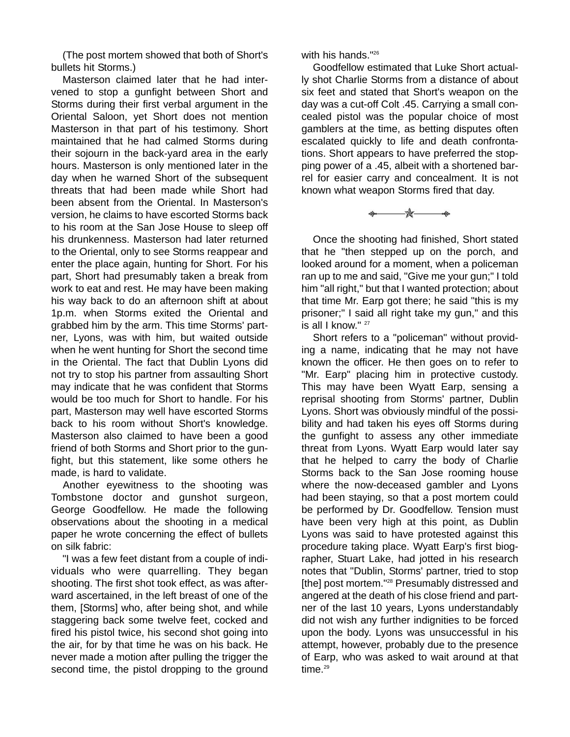(The post mortem showed that both of Short's bullets hit Storms.)

Masterson claimed later that he had intervened to stop a gunfight between Short and Storms during their first verbal argument in the Oriental Saloon, yet Short does not mention Masterson in that part of his testimony. Short maintained that he had calmed Storms during their sojourn in the back-yard area in the early hours. Masterson is only mentioned later in the day when he warned Short of the subsequent threats that had been made while Short had been absent from the Oriental. In Masterson's version, he claims to have escorted Storms back to his room at the San Jose House to sleep off his drunkenness. Masterson had later returned to the Oriental, only to see Storms reappear and enter the place again, hunting for Short. For his part, Short had presumably taken a break from work to eat and rest. He may have been making his way back to do an afternoon shift at about 1p.m. when Storms exited the Oriental and grabbed him by the arm. This time Storms' partner, Lyons, was with him, but waited outside when he went hunting for Short the second time in the Oriental. The fact that Dublin Lyons did not try to stop his partner from assaulting Short may indicate that he was confident that Storms would be too much for Short to handle. For his part, Masterson may well have escorted Storms back to his room without Short's knowledge. Masterson also claimed to have been a good friend of both Storms and Short prior to the gunfight, but this statement, like some others he made, is hard to validate.

Another eyewitness to the shooting was Tombstone doctor and gunshot surgeon, George Goodfellow. He made the following observations about the shooting in a medical paper he wrote concerning the effect of bullets on silk fabric:

"I was a few feet distant from a couple of individuals who were quarrelling. They began shooting. The first shot took effect, as was afterward ascertained, in the left breast of one of the them, [Storms] who, after being shot, and while staggering back some twelve feet, cocked and fired his pistol twice, his second shot going into the air, for by that time he was on his back. He never made a motion after pulling the trigger the second time, the pistol dropping to the ground with his hands."<sup>26</sup>

Goodfellow estimated that Luke Short actually shot Charlie Storms from a distance of about six feet and stated that Short's weapon on the day was a cut-off Colt .45. Carrying a small concealed pistol was the popular choice of most gamblers at the time, as betting disputes often escalated quickly to life and death confrontations. Short appears to have preferred the stopping power of a .45, albeit with a shortened barrel for easier carry and concealment. It is not known what weapon Storms fired that day.

\* \* \*

Once the shooting had finished, Short stated that he "then stepped up on the porch, and looked around for a moment, when a policeman ran up to me and said, "Give me your gun;" I told him "all right," but that I wanted protection; about that time Mr. Earp got there; he said "this is my prisoner;" I said all right take my gun," and this is all I know."<sup>27</sup>

Short refers to a "policeman" without providing a name, indicating that he may not have known the officer. He then goes on to refer to "Mr. Earp" placing him in protective custody. This may have been Wyatt Earp, sensing a reprisal shooting from Storms' partner, Dublin Lyons. Short was obviously mindful of the possibility and had taken his eyes off Storms during the gunfight to assess any other immediate threat from Lyons. Wyatt Earp would later say that he helped to carry the body of Charlie Storms back to the San Jose rooming house where the now-deceased gambler and Lyons had been staying, so that a post mortem could be performed by Dr. Goodfellow. Tension must have been very high at this point, as Dublin Lyons was said to have protested against this procedure taking place. Wyatt Earp's first biographer, Stuart Lake, had jotted in his research notes that "Dublin, Storms' partner, tried to stop [the] post mortem."<sup>28</sup> Presumably distressed and angered at the death of his close friend and partner of the last 10 years, Lyons understandably did not wish any further indignities to be forced upon the body. Lyons was unsuccessful in his attempt, however, probably due to the presence of Earp, who was asked to wait around at that time. $29$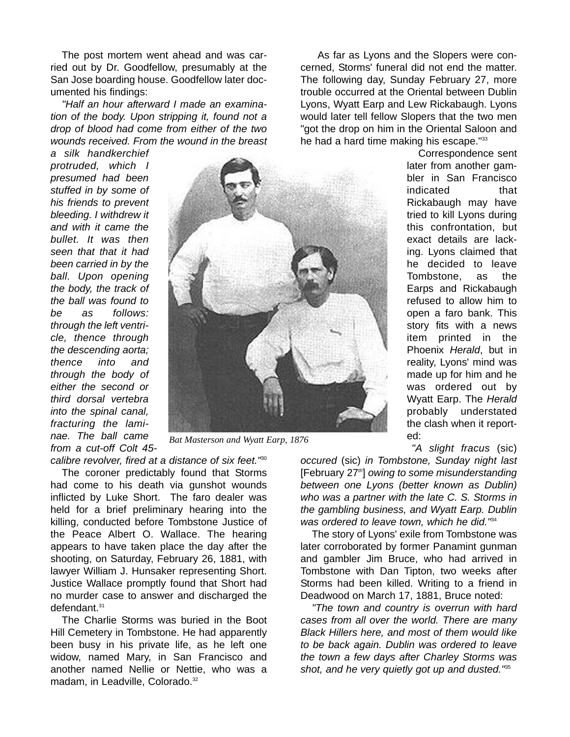The post mortem went ahead and was carried out by Dr. Goodfellow, presumably at the San Jose boarding house. Goodfellow later documented his findings:

*"Half an hour afterward I made an examination of the body. Upon stripping it, found not a drop of blood had come from either of the two wounds received. From the wound in the breast*

*a silk handkerchief protruded, which I presumed had been stuffed in by some of his friends to prevent bleeding. I withdrew it and with it came the bullet. It was then seen that that it had been carried in by the ball. Upon opening the body, the track of the ball was found to be as follows: through the left ventricle, thence through the descending aorta; thence into and through the body of either the second or third dorsal vertebra into the spinal canal, fracturing the laminae. The ball came from a cut-off Colt 45-*



*Bat Masterson and Wyatt Earp, 1876*

*calibre revolver, fired at a distance of six feet."*<sup>30</sup>

The coroner predictably found that Storms had come to his death via gunshot wounds inflicted by Luke Short. The faro dealer was held for a brief preliminary hearing into the killing, conducted before Tombstone Justice of the Peace Albert O. Wallace. The hearing appears to have taken place the day after the shooting, on Saturday, February 26, 1881, with lawyer William J. Hunsaker representing Short. Justice Wallace promptly found that Short had no murder case to answer and discharged the defendant.31

The Charlie Storms was buried in the Boot Hill Cemetery in Tombstone. He had apparently been busy in his private life, as he left one widow, named Mary, in San Francisco and another named Nellie or Nettie, who was a madam, in Leadville, Colorado.<sup>32</sup>

As far as Lyons and the Slopers were concerned, Storms' funeral did not end the matter. The following day, Sunday February 27, more trouble occurred at the Oriental between Dublin Lyons, Wyatt Earp and Lew Rickabaugh. Lyons would later tell fellow Slopers that the two men "got the drop on him in the Oriental Saloon and he had a hard time making his escape."<sup>33</sup>

> Correspondence sent later from another gambler in San Francisco indicated that Rickabaugh may have tried to kill Lyons during this confrontation, but exact details are lacking. Lyons claimed that he decided to leave Tombstone, as the Earps and Rickabaugh refused to allow him to open a faro bank. This story fits with a news item printed in the Phoenix *Herald*, but in reality, Lyons' mind was made up for him and he was ordered out by Wyatt Earp. The *Herald* probably understated the clash when it reported:

*"A slight fracus* (sic)

*occured* (sic) *in Tombstone, Sunday night last* [February 27th] *owing to some misunderstanding between one Lyons (better known as Dublin) who was a partner with the late C. S. Storms in the gambling business, and Wyatt Earp. Dublin was ordered to leave town, which he did."*<sup>34</sup>

The story of Lyons' exile from Tombstone was later corroborated by former Panamint gunman and gambler Jim Bruce, who had arrived in Tombstone with Dan Tipton, two weeks after Storms had been killed. Writing to a friend in Deadwood on March 17, 1881, Bruce noted:

*"The town and country is overrun with hard cases from all over the world. There are many Black Hillers here, and most of them would like to be back again. Dublin was ordered to leave the town a few days after Charley Storms was shot, and he very quietly got up and dusted."*<sup>35</sup>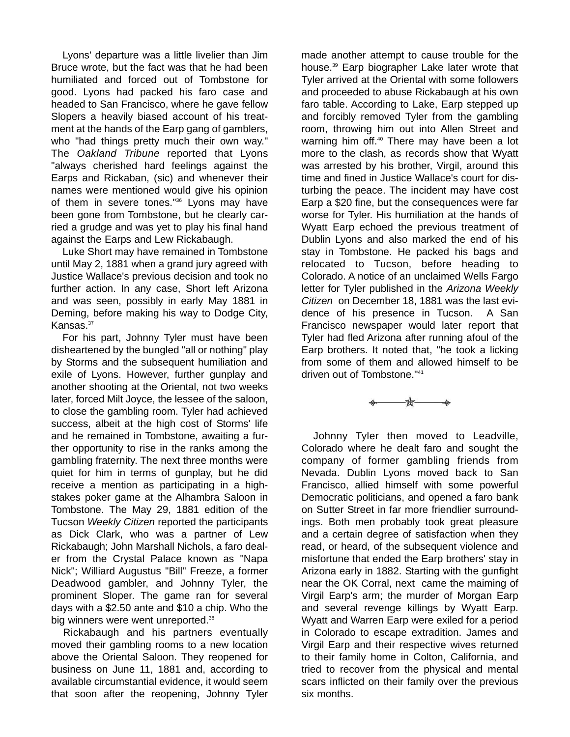Lyons' departure was a little livelier than Jim Bruce wrote, but the fact was that he had been humiliated and forced out of Tombstone for good. Lyons had packed his faro case and headed to San Francisco, where he gave fellow Slopers a heavily biased account of his treatment at the hands of the Earp gang of gamblers, who "had things pretty much their own way." The *Oakland Tribune* reported that Lyons "always cherished hard feelings against the Earps and Rickaban, (sic) and whenever their names were mentioned would give his opinion of them in severe tones."36 Lyons may have been gone from Tombstone, but he clearly carried a grudge and was yet to play his final hand against the Earps and Lew Rickabaugh.

Luke Short may have remained in Tombstone until May 2, 1881 when a grand jury agreed with Justice Wallace's previous decision and took no further action. In any case, Short left Arizona and was seen, possibly in early May 1881 in Deming, before making his way to Dodge City, Kansas.<sup>37</sup>

For his part, Johnny Tyler must have been disheartened by the bungled "all or nothing" play by Storms and the subsequent humiliation and exile of Lyons. However, further gunplay and another shooting at the Oriental, not two weeks later, forced Milt Joyce, the lessee of the saloon, to close the gambling room. Tyler had achieved success, albeit at the high cost of Storms' life and he remained in Tombstone, awaiting a further opportunity to rise in the ranks among the gambling fraternity. The next three months were quiet for him in terms of gunplay, but he did receive a mention as participating in a highstakes poker game at the Alhambra Saloon in Tombstone. The May 29, 1881 edition of the Tucson *Weekly Citizen* reported the participants as Dick Clark, who was a partner of Lew Rickabaugh; John Marshall Nichols, a faro dealer from the Crystal Palace known as "Napa Nick"; Williard Augustus "Bill" Freeze, a former Deadwood gambler, and Johnny Tyler, the prominent Sloper. The game ran for several days with a \$2.50 ante and \$10 a chip. Who the big winners were went unreported.<sup>38</sup>

Rickabaugh and his partners eventually moved their gambling rooms to a new location above the Oriental Saloon. They reopened for business on June 11, 1881 and, according to available circumstantial evidence, it would seem that soon after the reopening, Johnny Tyler

made another attempt to cause trouble for the house.39 Earp biographer Lake later wrote that Tyler arrived at the Oriental with some followers and proceeded to abuse Rickabaugh at his own faro table. According to Lake, Earp stepped up and forcibly removed Tyler from the gambling room, throwing him out into Allen Street and warning him off.<sup>40</sup> There may have been a lot more to the clash, as records show that Wyatt was arrested by his brother, Virgil, around this time and fined in Justice Wallace's court for disturbing the peace. The incident may have cost Earp a \$20 fine, but the consequences were far worse for Tyler. His humiliation at the hands of Wyatt Earp echoed the previous treatment of Dublin Lyons and also marked the end of his stay in Tombstone. He packed his bags and relocated to Tucson, before heading to Colorado. A notice of an unclaimed Wells Fargo letter for Tyler published in the *Arizona Weekly Citizen* on December 18, 1881 was the last evidence of his presence in Tucson. A San Francisco newspaper would later report that Tyler had fled Arizona after running afoul of the Earp brothers. It noted that, "he took a licking from some of them and allowed himself to be driven out of Tombstone."41

-\*—

Johnny Tyler then moved to Leadville, Colorado where he dealt faro and sought the company of former gambling friends from Nevada. Dublin Lyons moved back to San Francisco, allied himself with some powerful Democratic politicians, and opened a faro bank on Sutter Street in far more friendlier surroundings. Both men probably took great pleasure and a certain degree of satisfaction when they read, or heard, of the subsequent violence and misfortune that ended the Earp brothers' stay in Arizona early in 1882. Starting with the gunfight near the OK Corral, next came the maiming of Virgil Earp's arm; the murder of Morgan Earp and several revenge killings by Wyatt Earp. Wyatt and Warren Earp were exiled for a period in Colorado to escape extradition. James and Virgil Earp and their respective wives returned to their family home in Colton, California, and tried to recover from the physical and mental scars inflicted on their family over the previous six months.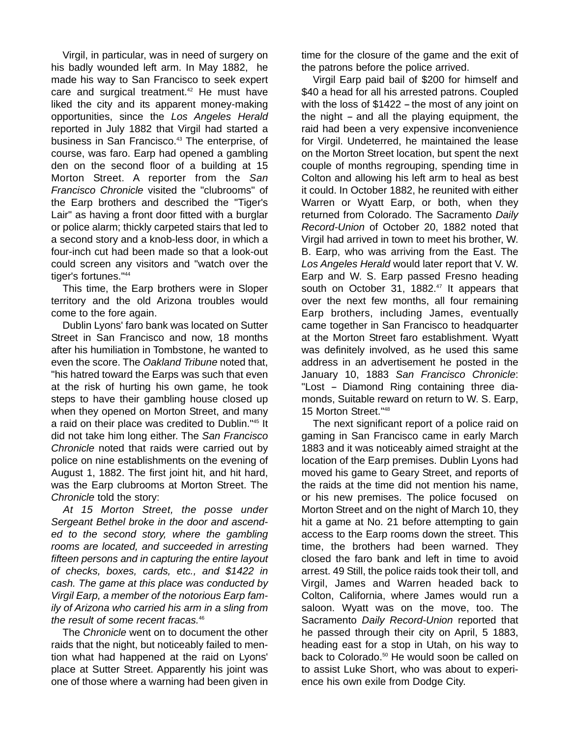Virgil, in particular, was in need of surgery on his badly wounded left arm. In May 1882, he made his way to San Francisco to seek expert care and surgical treatment.<sup>42</sup> He must have liked the city and its apparent money-making opportunities, since the *Los Angeles Herald* reported in July 1882 that Virgil had started a business in San Francisco.<sup>43</sup> The enterprise, of course, was faro. Earp had opened a gambling den on the second floor of a building at 15 Morton Street. A reporter from the *San Francisco Chronicle* visited the "clubrooms" of the Earp brothers and described the "Tiger's Lair" as having a front door fitted with a burglar or police alarm; thickly carpeted stairs that led to a second story and a knob-less door, in which a four-inch cut had been made so that a look-out could screen any visitors and "watch over the tiger's fortunes."44

This time, the Earp brothers were in Sloper territory and the old Arizona troubles would come to the fore again.

Dublin Lyons' faro bank was located on Sutter Street in San Francisco and now, 18 months after his humiliation in Tombstone, he wanted to even the score. The *Oakland Tribune* noted that, "his hatred toward the Earps was such that even at the risk of hurting his own game, he took steps to have their gambling house closed up when they opened on Morton Street, and many a raid on their place was credited to Dublin."45 It did not take him long either. The *San Francisco Chronicle* noted that raids were carried out by police on nine establishments on the evening of August 1, 1882. The first joint hit, and hit hard, was the Earp clubrooms at Morton Street. The *Chronicle* told the story:

*At 15 Morton Street, the posse under Sergeant Bethel broke in the door and ascended to the second story, where the gambling rooms are located, and succeeded in arresting fifteen persons and in capturing the entire layout of checks, boxes, cards, etc., and \$1422 in cash. The game at this place was conducted by Virgil Earp, a member of the notorious Earp family of Arizona who carried his arm in a sling from the result of some recent fracas.*<sup>46</sup>

The *Chronicle* went on to document the other raids that the night, but noticeably failed to mention what had happened at the raid on Lyons' place at Sutter Street. Apparently his joint was one of those where a warning had been given in

time for the closure of the game and the exit of the patrons before the police arrived.

Virgil Earp paid bail of \$200 for himself and \$40 a head for all his arrested patrons. Coupled with the loss of  $$1422 -$  the most of any joint on the night  $-$  and all the playing equipment, the raid had been a very expensive inconvenience for Virgil. Undeterred, he maintained the lease on the Morton Street location, but spent the next couple of months regrouping, spending time in Colton and allowing his left arm to heal as best it could. In October 1882, he reunited with either Warren or Wyatt Earp, or both, when they returned from Colorado. The Sacramento *Daily Record-Union* of October 20, 1882 noted that Virgil had arrived in town to meet his brother, W. B. Earp, who was arriving from the East. The *Los Angeles Herald* would later report that V. W. Earp and W. S. Earp passed Fresno heading south on October 31, 1882.<sup>47</sup> It appears that over the next few months, all four remaining Earp brothers, including James, eventually came together in San Francisco to headquarter at the Morton Street faro establishment. Wyatt was definitely involved, as he used this same address in an advertisement he posted in the January 10, 1883 *San Francisco Chronicle*: "Lost - Diamond Ring containing three diamonds, Suitable reward on return to W. S. Earp, 15 Morton Street."48

The next significant report of a police raid on gaming in San Francisco came in early March 1883 and it was noticeably aimed straight at the location of the Earp premises. Dublin Lyons had moved his game to Geary Street, and reports of the raids at the time did not mention his name, or his new premises. The police focused on Morton Street and on the night of March 10, they hit a game at No. 21 before attempting to gain access to the Earp rooms down the street. This time, the brothers had been warned. They closed the faro bank and left in time to avoid arrest. 49 Still, the police raids took their toll, and Virgil, James and Warren headed back to Colton, California, where James would run a saloon. Wyatt was on the move, too. The Sacramento *Daily Record-Union* reported that he passed through their city on April, 5 1883, heading east for a stop in Utah, on his way to back to Colorado.<sup>50</sup> He would soon be called on to assist Luke Short, who was about to experience his own exile from Dodge City.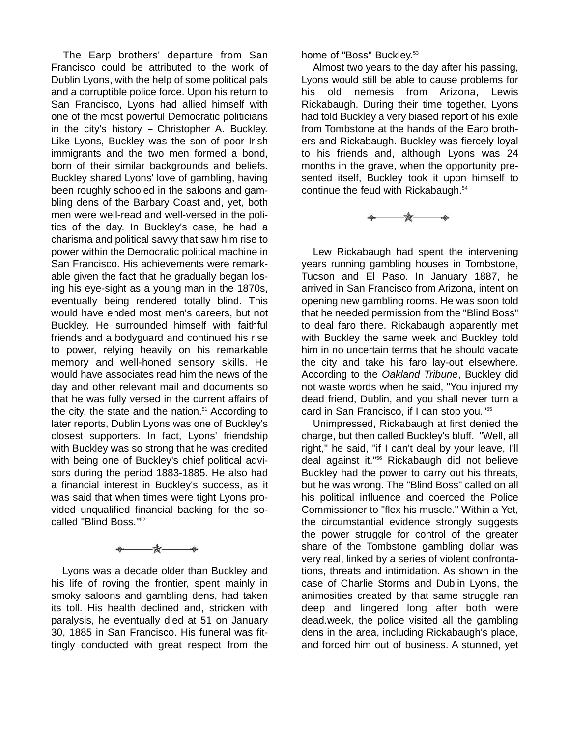The Earp brothers' departure from San Francisco could be attributed to the work of Dublin Lyons, with the help of some political pals and a corruptible police force. Upon his return to San Francisco, Lyons had allied himself with one of the most powerful Democratic politicians in the city's history  $-$  Christopher A. Buckley. Like Lyons, Buckley was the son of poor Irish immigrants and the two men formed a bond, born of their similar backgrounds and beliefs. Buckley shared Lyons' love of gambling, having been roughly schooled in the saloons and gambling dens of the Barbary Coast and, yet, both men were well-read and well-versed in the politics of the day. In Buckley's case, he had a charisma and political savvy that saw him rise to power within the Democratic political machine in San Francisco. His achievements were remarkable given the fact that he gradually began losing his eye-sight as a young man in the 1870s, eventually being rendered totally blind. This would have ended most men's careers, but not Buckley. He surrounded himself with faithful friends and a bodyguard and continued his rise to power, relying heavily on his remarkable memory and well-honed sensory skills. He would have associates read him the news of the day and other relevant mail and documents so that he was fully versed in the current affairs of the city, the state and the nation. $51$  According to later reports, Dublin Lyons was one of Buckley's closest supporters. In fact, Lyons' friendship with Buckley was so strong that he was credited with being one of Buckley's chief political advisors during the period 1883-1885. He also had a financial interest in Buckley's success, as it was said that when times were tight Lyons provided unqualified financial backing for the socalled "Blind Boss."<sup>52</sup>



Lyons was a decade older than Buckley and his life of roving the frontier, spent mainly in smoky saloons and gambling dens, had taken its toll. His health declined and, stricken with paralysis, he eventually died at 51 on January 30, 1885 in San Francisco. His funeral was fittingly conducted with great respect from the home of "Boss" Buckley.<sup>53</sup>

Almost two years to the day after his passing, Lyons would still be able to cause problems for his old nemesis from Arizona, Lewis Rickabaugh. During their time together, Lyons had told Buckley a very biased report of his exile from Tombstone at the hands of the Earp brothers and Rickabaugh. Buckley was fiercely loyal to his friends and, although Lyons was 24 months in the grave, when the opportunity presented itself, Buckley took it upon himself to continue the feud with Rickabaugh.<sup>54</sup>

 $\star$ 

Lew Rickabaugh had spent the intervening years running gambling houses in Tombstone, Tucson and El Paso. In January 1887, he arrived in San Francisco from Arizona, intent on opening new gambling rooms. He was soon told that he needed permission from the "Blind Boss" to deal faro there. Rickabaugh apparently met with Buckley the same week and Buckley told him in no uncertain terms that he should vacate the city and take his faro lay-out elsewhere. According to the *Oakland Tribune*, Buckley did not waste words when he said, "You injured my dead friend, Dublin, and you shall never turn a card in San Francisco, if I can stop you."55

Unimpressed, Rickabaugh at first denied the charge, but then called Buckley's bluff. "Well, all right," he said, "if I can't deal by your leave, I'll deal against it."56 Rickabaugh did not believe Buckley had the power to carry out his threats, but he was wrong. The "Blind Boss" called on all his political influence and coerced the Police Commissioner to "flex his muscle." Within a Yet, the circumstantial evidence strongly suggests the power struggle for control of the greater share of the Tombstone gambling dollar was very real, linked by a series of violent confrontations, threats and intimidation. As shown in the case of Charlie Storms and Dublin Lyons, the animosities created by that same struggle ran deep and lingered long after both were dead.week, the police visited all the gambling dens in the area, including Rickabaugh's place, and forced him out of business. A stunned, yet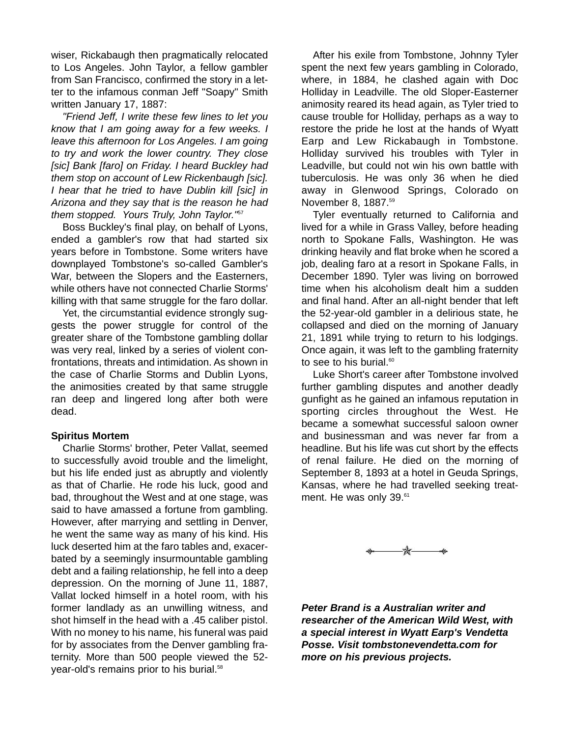wiser, Rickabaugh then pragmatically relocated to Los Angeles. John Taylor, a fellow gambler from San Francisco, confirmed the story in a letter to the infamous conman Jeff "Soapy" Smith written January 17, 1887:

*"Friend Jeff, I write these few lines to let you know that I am going away for a few weeks. I leave this afternoon for Los Angeles. I am going to try and work the lower country. They close [sic] Bank [faro] on Friday. I heard Buckley had them stop on account of Lew Rickenbaugh [sic]. I hear that he tried to have Dublin kill [sic] in Arizona and they say that is the reason he had them stopped. Yours Truly, John Taylor."*<sup>57</sup>

Boss Buckley's final play, on behalf of Lyons, ended a gambler's row that had started six years before in Tombstone. Some writers have downplayed Tombstone's so-called Gambler's War, between the Slopers and the Easterners, while others have not connected Charlie Storms' killing with that same struggle for the faro dollar.

Yet, the circumstantial evidence strongly suggests the power struggle for control of the greater share of the Tombstone gambling dollar was very real, linked by a series of violent confrontations, threats and intimidation. As shown in the case of Charlie Storms and Dublin Lyons, the animosities created by that same struggle ran deep and lingered long after both were dead.

#### **Spiritus Mortem**

Charlie Storms' brother, Peter Vallat, seemed to successfully avoid trouble and the limelight, but his life ended just as abruptly and violently as that of Charlie. He rode his luck, good and bad, throughout the West and at one stage, was said to have amassed a fortune from gambling. However, after marrying and settling in Denver, he went the same way as many of his kind. His luck deserted him at the faro tables and, exacerbated by a seemingly insurmountable gambling debt and a failing relationship, he fell into a deep depression. On the morning of June 11, 1887, Vallat locked himself in a hotel room, with his former landlady as an unwilling witness, and shot himself in the head with a .45 caliber pistol. With no money to his name, his funeral was paid for by associates from the Denver gambling fraternity. More than 500 people viewed the 52 year-old's remains prior to his burial.<sup>58</sup>

After his exile from Tombstone, Johnny Tyler spent the next few years gambling in Colorado, where, in 1884, he clashed again with Doc Holliday in Leadville. The old Sloper-Easterner animosity reared its head again, as Tyler tried to cause trouble for Holliday, perhaps as a way to restore the pride he lost at the hands of Wyatt Earp and Lew Rickabaugh in Tombstone. Holliday survived his troubles with Tyler in Leadville, but could not win his own battle with tuberculosis. He was only 36 when he died away in Glenwood Springs, Colorado on November 8, 1887.<sup>59</sup>

Tyler eventually returned to California and lived for a while in Grass Valley, before heading north to Spokane Falls, Washington. He was drinking heavily and flat broke when he scored a job, dealing faro at a resort in Spokane Falls, in December 1890. Tyler was living on borrowed time when his alcoholism dealt him a sudden and final hand. After an all-night bender that left the 52-year-old gambler in a delirious state, he collapsed and died on the morning of January 21, 1891 while trying to return to his lodgings. Once again, it was left to the gambling fraternity to see to his burial. $60$ 

Luke Short's career after Tombstone involved further gambling disputes and another deadly gunfight as he gained an infamous reputation in sporting circles throughout the West. He became a somewhat successful saloon owner and businessman and was never far from a headline. But his life was cut short by the effects of renal failure. He died on the morning of September 8, 1893 at a hotel in Geuda Springs, Kansas, where he had travelled seeking treatment. He was only 39.<sup>61</sup>



*Peter Brand is a Australian writer and researcher of the American Wild West, with a special interest in Wyatt Earp's Vendetta Posse. Visit tombstonevendetta.com for more on his previous projects.*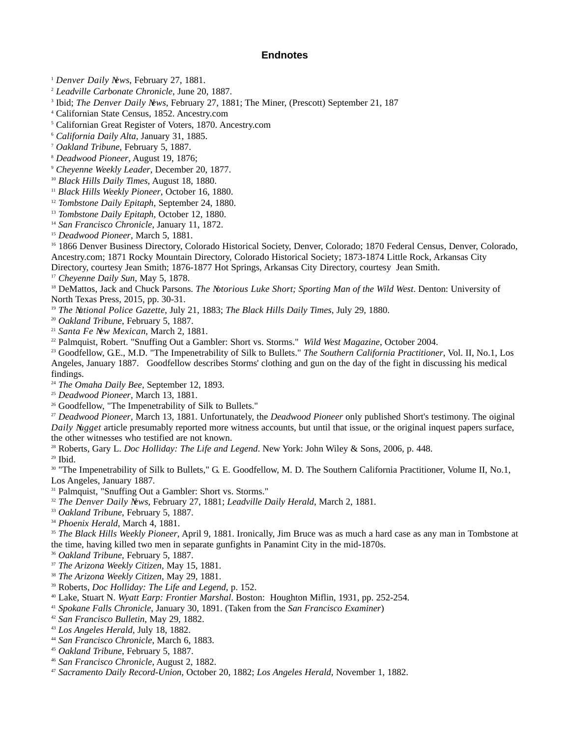#### **Endnotes**

*Denver Daily News*, February 27, 1881.

*Leadville Carbonate Chronicle*, June 20, 1887.

Ibid; *The Denver Daily News*, February 27, 1881; The Miner, (Prescott) September 21, 187

Californian State Census, 1852. Ancestry.com

Californian Great Register of Voters, 1870. Ancestry.com

- *California Daily Alta,* January 31, 1885. 7 *Oakland Tribune*, February 5, 1887.
- 
- 
- *Deadwood Pioneer*, August 19, 1876; 9 *Cheyenne Weekly Leader*, December 20, 1877.
- <sup>10</sup> *Black Hills Daily Times*, August 18, 1880.<br><sup>11</sup> *Black Hills Weekly Pioneer*, October 16, 1880.
- 
- *Tombstone Daily Epitaph*, September 24, 1880.
- *Tombstone Daily Epitaph*, October 12, 1880.
- <sup>14</sup> *San Francisco Chronicle*, January 11, 1872.<br><sup>15</sup> *Deadwood Pioneer*, March 5, 1881.
- 

<sup>16</sup> 1866 Denver Business Directory, Colorado Historical Society, Denver, Colorado; 1870 Federal Census, Denver, Colorado, Ancestry.com; 1871 Rocky Mountain Directory, Colorado Historical Society; 1873-1874 Little Rock, Arkansas City Directory, courtesy Jean Smith; 1876-1877 Hot Springs, Arkansas City Directory, courtesy Jean Smith.

*Cheyenne Daily Sun*, May 5, 1878.

 DeMattos, Jack and Chuck Parsons. *The Notorious Luke Short; Sporting Man of the Wild West*. Denton: University of North Texas Press, 2015, pp. 30-31.

*The National Police Gazette*, July 21, 1883; *The Black Hills Daily Times*, July 29, 1880.

- *Oakland Tribune*, February 5, 1887.
- 

<sup>21</sup> *Santa Fe New Mexican*, March 2, 1881.<br><sup>22</sup> Palmquist, Robert. "Snuffing Out a Gambler: Short vs. Storms." *Wild West Magazine*, October 2004.

<sup>23</sup> Goodfellow, G.E., M.D. "The Impenetrability of Silk to Bullets." The Southern California Practitioner, Vol. II, No.1, Los Angeles, January 1887. Goodfellow describes Storms' clothing and gun on the day of the fight in discussing his medical findings.

*The Omaha Daily Bee*, September 12, 1893.

<sup>25</sup> *Deadwood Pioneer*, March 13, 1881.<br><sup>26</sup> Goodfellow, "The Impenetrability of Silk to Bullets."

 *Deadwood Pioneer*, March 13, 1881. Unfortunately, the *Deadwood Pioneer* only published Short's testimony. The oiginal *Daily Nugget* article presumably reported more witness accounts, but until that issue, or the original inquest papers surface, the other witnesses who testified are not known.

Roberts, Gary L. *Doc Holliday: The Life and Legend*. New York: John Wiley & Sons, 2006, p. 448.

Ibid.

<sup>30</sup> "The Impenetrability of Silk to Bullets," G. E. Goodfellow, M. D. The Southern California Practitioner, Volume II, No.1, Los Angeles, January 1887.

<sup>31</sup> Palmquist, "Snuffing Out a Gambler: Short vs. Storms."

*The Denver Daily News*, February 27, 1881; *Leadville Daily Herald*, March 2, 1881.

- *Oakland Tribune*, February 5, 1887.
- *Phoenix Herald*, March 4, 1881.

 *The Black Hills Weekly Pioneer*, April 9, 1881. Ironically, Jim Bruce was as much a hard case as any man in Tombstone at the time, having killed two men in separate gunfights in Panamint City in the mid-1870s.

*Oakland Tribune*, February 5, 1887.

*The Arizona Weekly Citizen*, May 15, 1881.

*The Arizona Weekly Citizen*, May 29, 1881.

- Roberts, *Doc Holliday: The Life and Legend*, p. 152.
- Lake, Stuart N. *Wyatt Earp: Frontier Marshal*. Boston: Houghton Miflin, 1931, pp. 252-254.

*Spokane Falls Chronicle*, January 30, 1891. (Taken from the *San Francisco Examiner*)

- *San Francisco Bulletin*, May 29, 1882.
- *Los Angeles Herald*, July 18, 1882.
- *San Francisco Chronicle*, March 6, 1883.
- *Oakland Tribune*, February 5, 1887.
- *San Francisco Chronicle*, August 2, 1882.
- *Sacramento Daily Record-Union*, October 20, 1882; *Los Angeles Herald*, November 1, 1882.